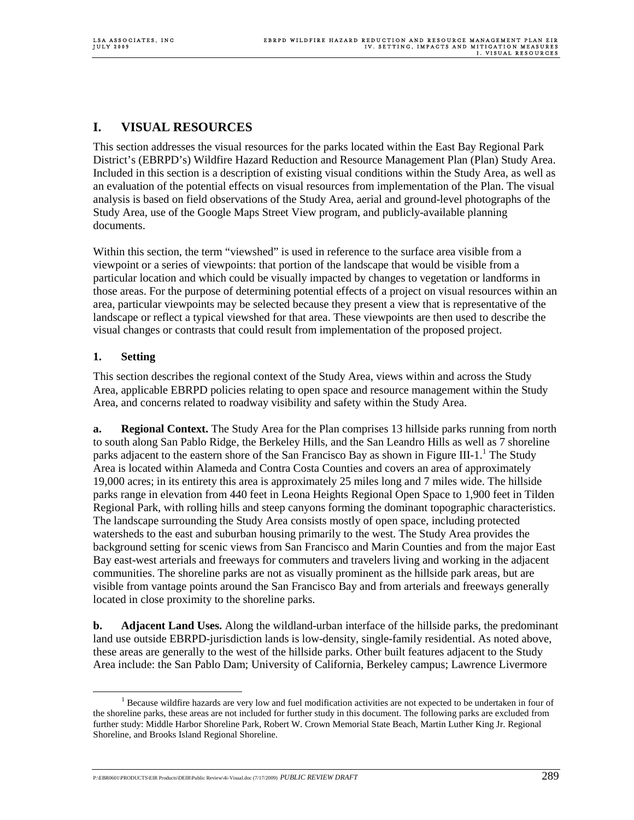## **I. VISUAL RESOURCES**

This section addresses the visual resources for the parks located within the East Bay Regional Park District's (EBRPD's) Wildfire Hazard Reduction and Resource Management Plan (Plan) Study Area. Included in this section is a description of existing visual conditions within the Study Area, as well as an evaluation of the potential effects on visual resources from implementation of the Plan. The visual analysis is based on field observations of the Study Area, aerial and ground-level photographs of the Study Area, use of the Google Maps Street View program, and publicly-available planning documents.

Within this section, the term "viewshed" is used in reference to the surface area visible from a viewpoint or a series of viewpoints: that portion of the landscape that would be visible from a particular location and which could be visually impacted by changes to vegetation or landforms in those areas. For the purpose of determining potential effects of a project on visual resources within an area, particular viewpoints may be selected because they present a view that is representative of the landscape or reflect a typical viewshed for that area. These viewpoints are then used to describe the visual changes or contrasts that could result from implementation of the proposed project.

### **1. Setting**

This section describes the regional context of the Study Area, views within and across the Study Area, applicable EBRPD policies relating to open space and resource management within the Study Area, and concerns related to roadway visibility and safety within the Study Area.

**a. Regional Context.** The Study Area for the Plan comprises 13 hillside parks running from north to south along San Pablo Ridge, the Berkeley Hills, and the San Leandro Hills as well as 7 shoreline parks adjacent to the eastern shore of the San Francisco Bay as shown in Figure III-1.<sup>1</sup> The Study Area is located within Alameda and Contra Costa Counties and covers an area of approximately 19,000 acres; in its entirety this area is approximately 25 miles long and 7 miles wide. The hillside parks range in elevation from 440 feet in Leona Heights Regional Open Space to 1,900 feet in Tilden Regional Park, with rolling hills and steep canyons forming the dominant topographic characteristics. The landscape surrounding the Study Area consists mostly of open space, including protected watersheds to the east and suburban housing primarily to the west. The Study Area provides the background setting for scenic views from San Francisco and Marin Counties and from the major East Bay east-west arterials and freeways for commuters and travelers living and working in the adjacent communities. The shoreline parks are not as visually prominent as the hillside park areas, but are visible from vantage points around the San Francisco Bay and from arterials and freeways generally located in close proximity to the shoreline parks.

**b. Adjacent Land Uses.** Along the wildland-urban interface of the hillside parks, the predominant land use outside EBRPD-jurisdiction lands is low-density, single-family residential. As noted above, these areas are generally to the west of the hillside parks. Other built features adjacent to the Study Area include: the San Pablo Dam; University of California, Berkeley campus; Lawrence Livermore

P:\EBR0601\PRODUCTS\EIR Products\DEIR\Public Review\4i-Visual.doc (7/17/2009) *PUBLIC REVIEW DRAFT* 2899

 $\frac{1}{1}$  $<sup>1</sup>$  Because wildfire hazards are very low and fuel modification activities are not expected to be undertaken in four of</sup> the shoreline parks, these areas are not included for further study in this document. The following parks are excluded from further study: Middle Harbor Shoreline Park, Robert W. Crown Memorial State Beach, Martin Luther King Jr. Regional Shoreline, and Brooks Island Regional Shoreline.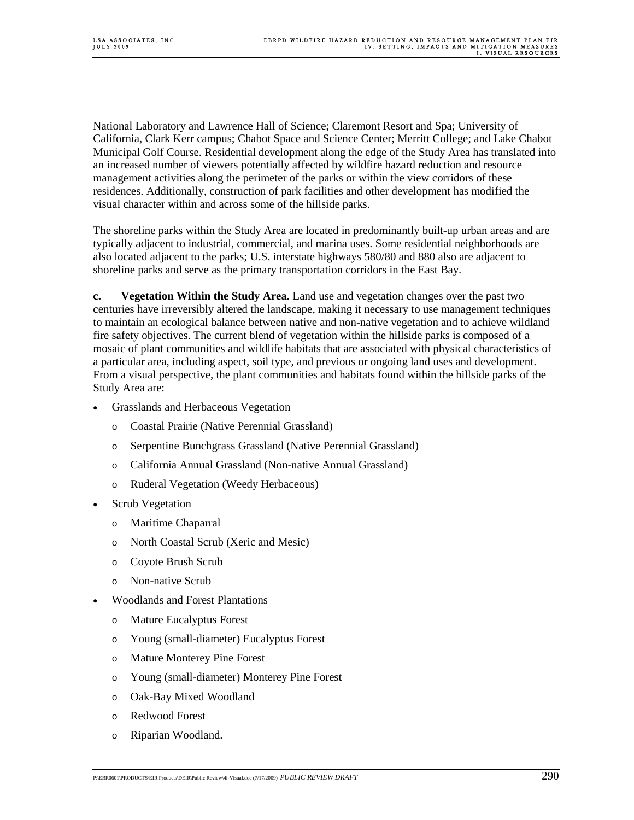National Laboratory and Lawrence Hall of Science; Claremont Resort and Spa; University of California, Clark Kerr campus; Chabot Space and Science Center; Merritt College; and Lake Chabot Municipal Golf Course. Residential development along the edge of the Study Area has translated into an increased number of viewers potentially affected by wildfire hazard reduction and resource management activities along the perimeter of the parks or within the view corridors of these residences. Additionally, construction of park facilities and other development has modified the visual character within and across some of the hillside parks.

The shoreline parks within the Study Area are located in predominantly built-up urban areas and are typically adjacent to industrial, commercial, and marina uses. Some residential neighborhoods are also located adjacent to the parks; U.S. interstate highways 580/80 and 880 also are adjacent to shoreline parks and serve as the primary transportation corridors in the East Bay.

**c. Vegetation Within the Study Area.** Land use and vegetation changes over the past two centuries have irreversibly altered the landscape, making it necessary to use management techniques to maintain an ecological balance between native and non-native vegetation and to achieve wildland fire safety objectives. The current blend of vegetation within the hillside parks is composed of a mosaic of plant communities and wildlife habitats that are associated with physical characteristics of a particular area, including aspect, soil type, and previous or ongoing land uses and development. From a visual perspective, the plant communities and habitats found within the hillside parks of the Study Area are:

- Grasslands and Herbaceous Vegetation
	- o Coastal Prairie (Native Perennial Grassland)
	- o Serpentine Bunchgrass Grassland (Native Perennial Grassland)
	- o California Annual Grassland (Non-native Annual Grassland)
	- o Ruderal Vegetation (Weedy Herbaceous)
- Scrub Vegetation
	- o Maritime Chaparral
	- o North Coastal Scrub (Xeric and Mesic)
	- o Coyote Brush Scrub
	- o Non-native Scrub
- Woodlands and Forest Plantations
	- o Mature Eucalyptus Forest
	- o Young (small-diameter) Eucalyptus Forest
	- o Mature Monterey Pine Forest
	- o Young (small-diameter) Monterey Pine Forest
	- o Oak-Bay Mixed Woodland
	- o Redwood Forest
	- o Riparian Woodland.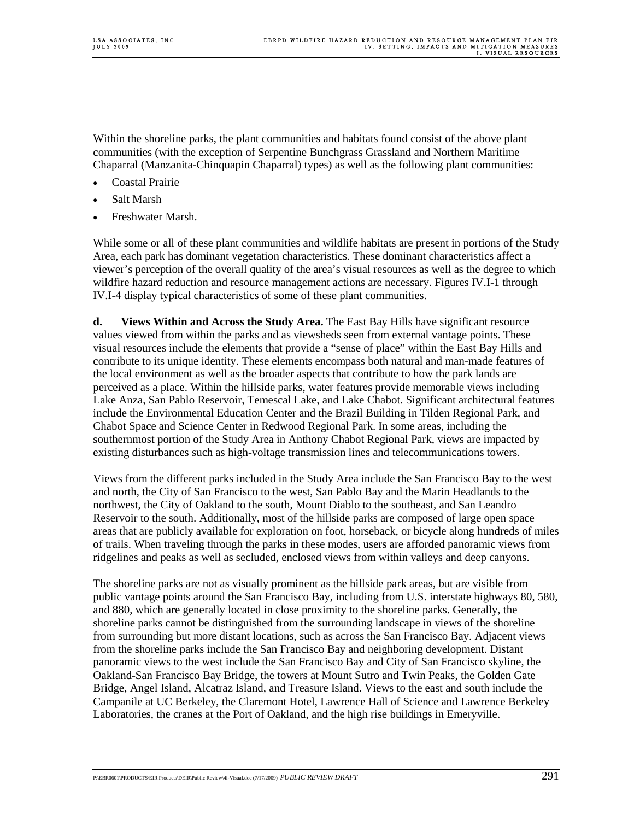Within the shoreline parks, the plant communities and habitats found consist of the above plant communities (with the exception of Serpentine Bunchgrass Grassland and Northern Maritime Chaparral (Manzanita-Chinquapin Chaparral) types) as well as the following plant communities:

- Coastal Prairie
- Salt Marsh
- Freshwater Marsh.

While some or all of these plant communities and wildlife habitats are present in portions of the Study Area, each park has dominant vegetation characteristics. These dominant characteristics affect a viewer's perception of the overall quality of the area's visual resources as well as the degree to which wildfire hazard reduction and resource management actions are necessary. Figures IV.I-1 through IV.I-4 display typical characteristics of some of these plant communities.

**d. Views Within and Across the Study Area.** The East Bay Hills have significant resource values viewed from within the parks and as viewsheds seen from external vantage points. These visual resources include the elements that provide a "sense of place" within the East Bay Hills and contribute to its unique identity. These elements encompass both natural and man-made features of the local environment as well as the broader aspects that contribute to how the park lands are perceived as a place. Within the hillside parks, water features provide memorable views including Lake Anza, San Pablo Reservoir, Temescal Lake, and Lake Chabot. Significant architectural features include the Environmental Education Center and the Brazil Building in Tilden Regional Park, and Chabot Space and Science Center in Redwood Regional Park. In some areas, including the southernmost portion of the Study Area in Anthony Chabot Regional Park, views are impacted by existing disturbances such as high-voltage transmission lines and telecommunications towers.

Views from the different parks included in the Study Area include the San Francisco Bay to the west and north, the City of San Francisco to the west, San Pablo Bay and the Marin Headlands to the northwest, the City of Oakland to the south, Mount Diablo to the southeast, and San Leandro Reservoir to the south. Additionally, most of the hillside parks are composed of large open space areas that are publicly available for exploration on foot, horseback, or bicycle along hundreds of miles of trails. When traveling through the parks in these modes, users are afforded panoramic views from ridgelines and peaks as well as secluded, enclosed views from within valleys and deep canyons.

The shoreline parks are not as visually prominent as the hillside park areas, but are visible from public vantage points around the San Francisco Bay, including from U.S. interstate highways 80, 580, and 880, which are generally located in close proximity to the shoreline parks. Generally, the shoreline parks cannot be distinguished from the surrounding landscape in views of the shoreline from surrounding but more distant locations, such as across the San Francisco Bay. Adjacent views from the shoreline parks include the San Francisco Bay and neighboring development. Distant panoramic views to the west include the San Francisco Bay and City of San Francisco skyline, the Oakland-San Francisco Bay Bridge, the towers at Mount Sutro and Twin Peaks, the Golden Gate Bridge, Angel Island, Alcatraz Island, and Treasure Island. Views to the east and south include the Campanile at UC Berkeley, the Claremont Hotel, Lawrence Hall of Science and Lawrence Berkeley Laboratories, the cranes at the Port of Oakland, and the high rise buildings in Emeryville.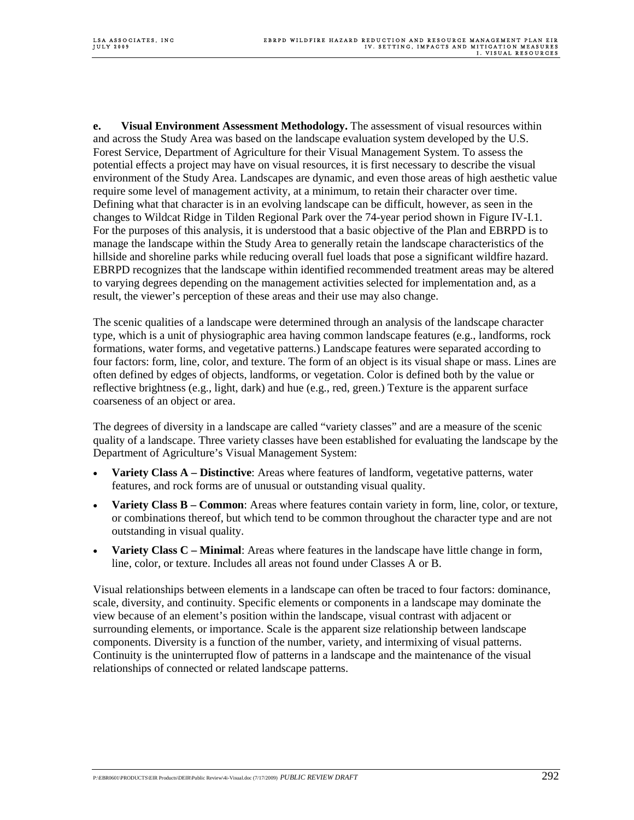**e.** Visual Environment Assessment Methodology. The assessment of visual resources within and across the Study Area was based on the landscape evaluation system developed by the U.S. Forest Service, Department of Agriculture for their Visual Management System. To assess the potential effects a project may have on visual resources, it is first necessary to describe the visual environment of the Study Area. Landscapes are dynamic, and even those areas of high aesthetic value require some level of management activity, at a minimum, to retain their character over time. Defining what that character is in an evolving landscape can be difficult, however, as seen in the changes to Wildcat Ridge in Tilden Regional Park over the 74-year period shown in Figure IV-I.1. For the purposes of this analysis, it is understood that a basic objective of the Plan and EBRPD is to manage the landscape within the Study Area to generally retain the landscape characteristics of the hillside and shoreline parks while reducing overall fuel loads that pose a significant wildfire hazard. EBRPD recognizes that the landscape within identified recommended treatment areas may be altered to varying degrees depending on the management activities selected for implementation and, as a result, the viewer's perception of these areas and their use may also change.

The scenic qualities of a landscape were determined through an analysis of the landscape character type, which is a unit of physiographic area having common landscape features (e.g., landforms, rock formations, water forms, and vegetative patterns.) Landscape features were separated according to four factors: form, line, color, and texture. The form of an object is its visual shape or mass. Lines are often defined by edges of objects, landforms, or vegetation. Color is defined both by the value or reflective brightness (e.g., light, dark) and hue (e.g., red, green.) Texture is the apparent surface coarseness of an object or area.

The degrees of diversity in a landscape are called "variety classes" and are a measure of the scenic quality of a landscape. Three variety classes have been established for evaluating the landscape by the Department of Agriculture's Visual Management System:

- **Variety Class A Distinctive**: Areas where features of landform, vegetative patterns, water features, and rock forms are of unusual or outstanding visual quality.
- **Variety Class B Common**: Areas where features contain variety in form, line, color, or texture, or combinations thereof, but which tend to be common throughout the character type and are not outstanding in visual quality.
- **Variety Class C Minimal**: Areas where features in the landscape have little change in form, line, color, or texture. Includes all areas not found under Classes A or B.

Visual relationships between elements in a landscape can often be traced to four factors: dominance, scale, diversity, and continuity. Specific elements or components in a landscape may dominate the view because of an element's position within the landscape, visual contrast with adjacent or surrounding elements, or importance. Scale is the apparent size relationship between landscape components. Diversity is a function of the number, variety, and intermixing of visual patterns. Continuity is the uninterrupted flow of patterns in a landscape and the maintenance of the visual relationships of connected or related landscape patterns.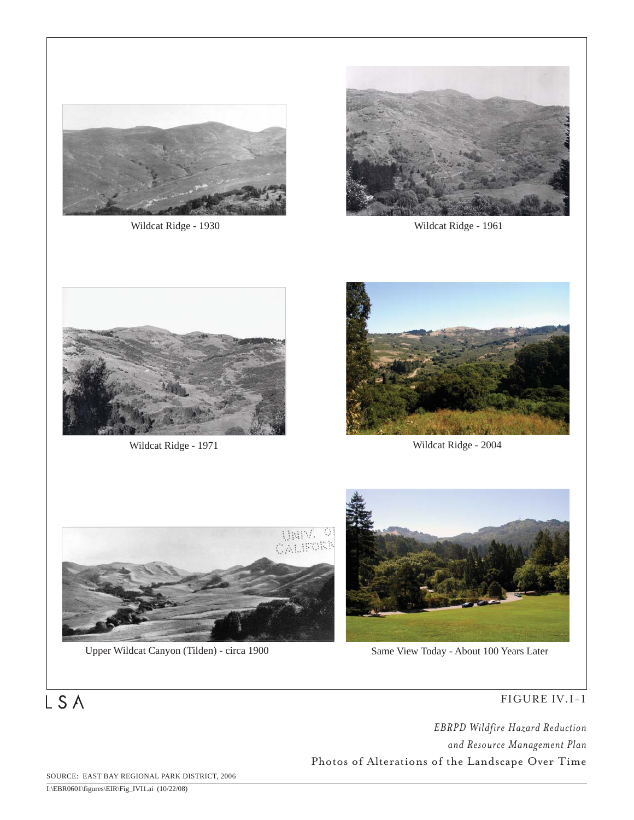

Wildcat Ridge - 1930 Wildcat Ridge - 1961





Wildcat Ridge - 1971 Wildcat Ridge - 2004





Upper Wildcat Canyon (Tilden) - circa 1900 Same View Today - About 100 Years Later



### FIGURE IV.I-1

*EBRPD Wildfire Hazard Reduction and Resource Management Plan* Photos of Alterations of the Landscape Over Time

SOURCE: EAST BAY REGIONAL PARK DISTRICT, 2006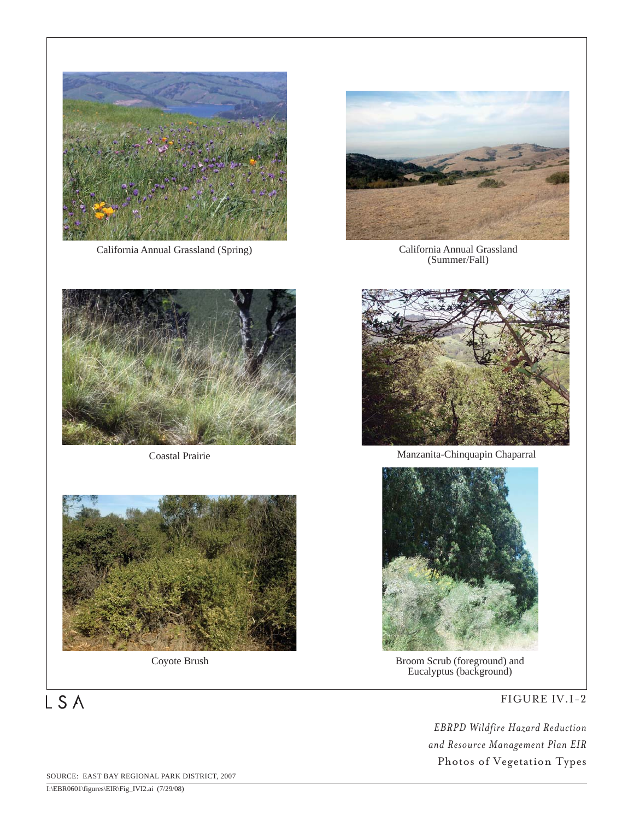

California Annual Grassland (Spring) California Annual Grassland



(Summer/Fall)







Coastal Prairie Manzanita-Chinquapin Chaparral



Coyote Brush Broom Scrub (foreground) and Eucalyptus (background)

FIGURE IV.I-2

*EBRPD Wildfire Hazard Reduction and Resource Management Plan EIR* Photos of Vegetation Types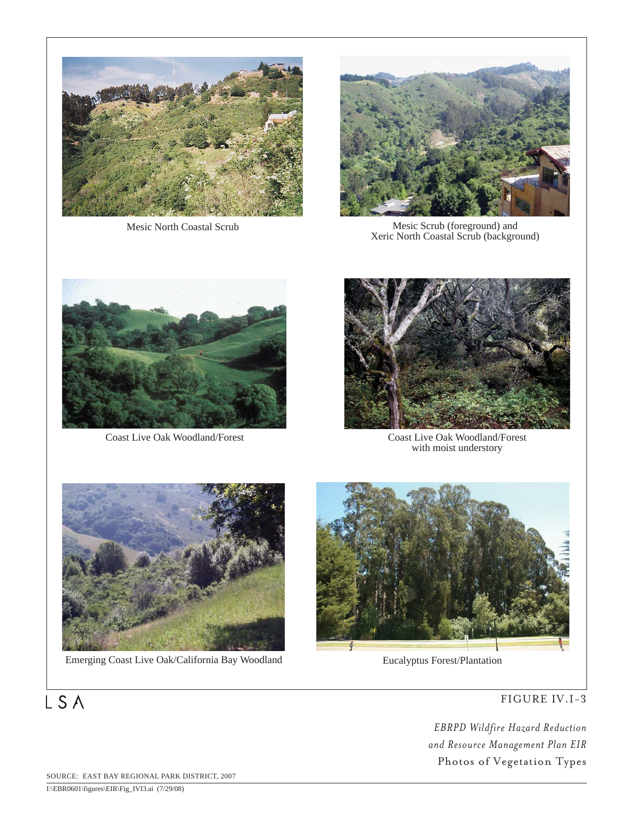



Mesic North Coastal Scrub Mesic Scrub (foreground) and Xeric North Coastal Scrub (background)



Coast Live Oak Woodland/Forest



Coast Live Oak Woodland/Forest with moist understory



Emerging Coast Live Oak/California Bay Woodland Eucalyptus Forest/Plantation



FIGURE IV.I-3

*EBRPD Wildfire Hazard Reduction and Resource Management Plan EIR* Photos of Vegetation Types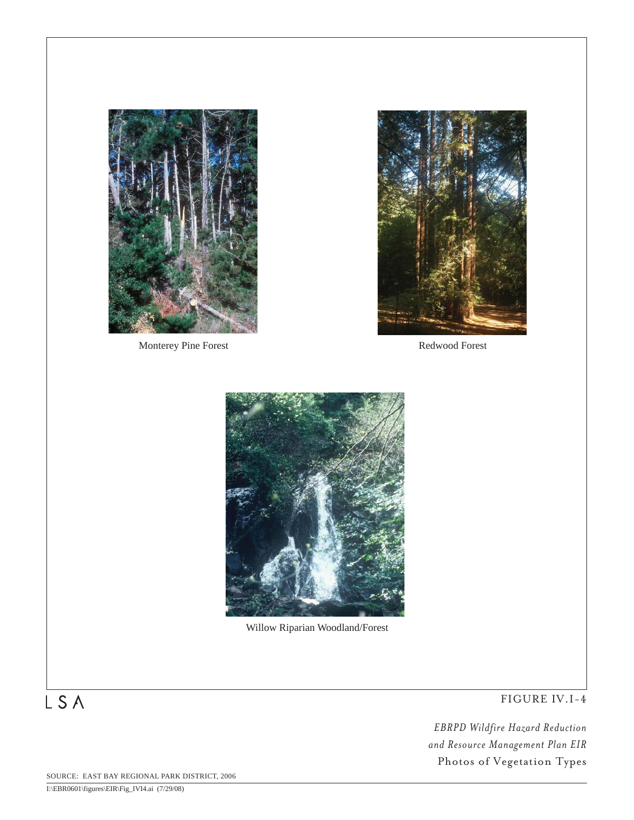

Monterey Pine Forest Redwood Forest





Willow Riparian Woodland/Forest

FIGURE IV.I-4

*EBRPD Wildfire Hazard Reduction and Resource Management Plan EIR* Photos of Vegetation Types

SOURCE: EAST BAY REGIONAL PARK DISTRICT, 2006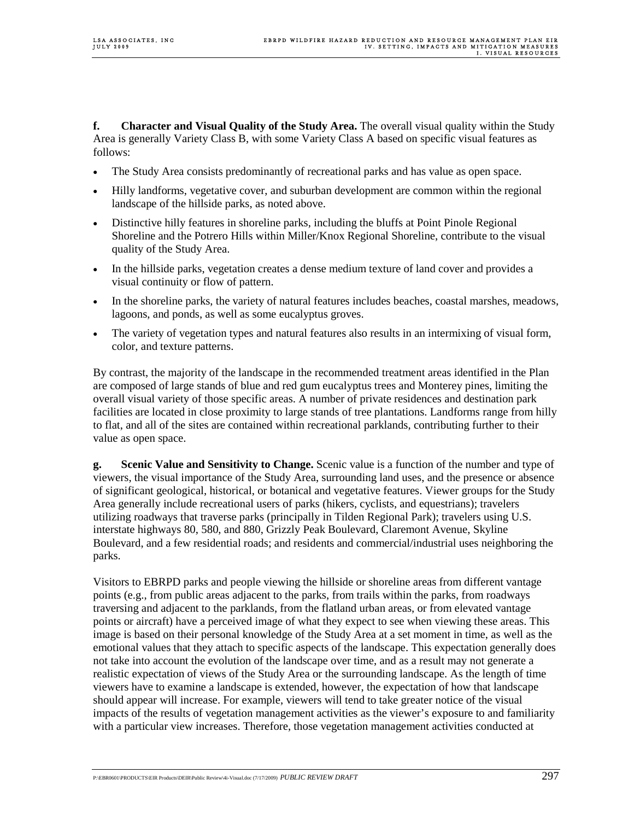**f. Character and Visual Quality of the Study Area.** The overall visual quality within the Study Area is generally Variety Class B, with some Variety Class A based on specific visual features as follows:

- The Study Area consists predominantly of recreational parks and has value as open space.
- Hilly landforms, vegetative cover, and suburban development are common within the regional landscape of the hillside parks, as noted above.
- Distinctive hilly features in shoreline parks, including the bluffs at Point Pinole Regional Shoreline and the Potrero Hills within Miller/Knox Regional Shoreline, contribute to the visual quality of the Study Area.
- In the hillside parks, vegetation creates a dense medium texture of land cover and provides a visual continuity or flow of pattern.
- In the shoreline parks, the variety of natural features includes beaches, coastal marshes, meadows, lagoons, and ponds, as well as some eucalyptus groves.
- The variety of vegetation types and natural features also results in an intermixing of visual form, color, and texture patterns.

By contrast, the majority of the landscape in the recommended treatment areas identified in the Plan are composed of large stands of blue and red gum eucalyptus trees and Monterey pines, limiting the overall visual variety of those specific areas. A number of private residences and destination park facilities are located in close proximity to large stands of tree plantations. Landforms range from hilly to flat, and all of the sites are contained within recreational parklands, contributing further to their value as open space.

**g. Scenic Value and Sensitivity to Change.** Scenic value is a function of the number and type of viewers, the visual importance of the Study Area, surrounding land uses, and the presence or absence of significant geological, historical, or botanical and vegetative features. Viewer groups for the Study Area generally include recreational users of parks (hikers, cyclists, and equestrians); travelers utilizing roadways that traverse parks (principally in Tilden Regional Park); travelers using U.S. interstate highways 80, 580, and 880, Grizzly Peak Boulevard, Claremont Avenue, Skyline Boulevard, and a few residential roads; and residents and commercial/industrial uses neighboring the parks.

Visitors to EBRPD parks and people viewing the hillside or shoreline areas from different vantage points (e.g., from public areas adjacent to the parks, from trails within the parks, from roadways traversing and adjacent to the parklands, from the flatland urban areas, or from elevated vantage points or aircraft) have a perceived image of what they expect to see when viewing these areas. This image is based on their personal knowledge of the Study Area at a set moment in time, as well as the emotional values that they attach to specific aspects of the landscape. This expectation generally does not take into account the evolution of the landscape over time, and as a result may not generate a realistic expectation of views of the Study Area or the surrounding landscape. As the length of time viewers have to examine a landscape is extended, however, the expectation of how that landscape should appear will increase. For example, viewers will tend to take greater notice of the visual impacts of the results of vegetation management activities as the viewer's exposure to and familiarity with a particular view increases. Therefore, those vegetation management activities conducted at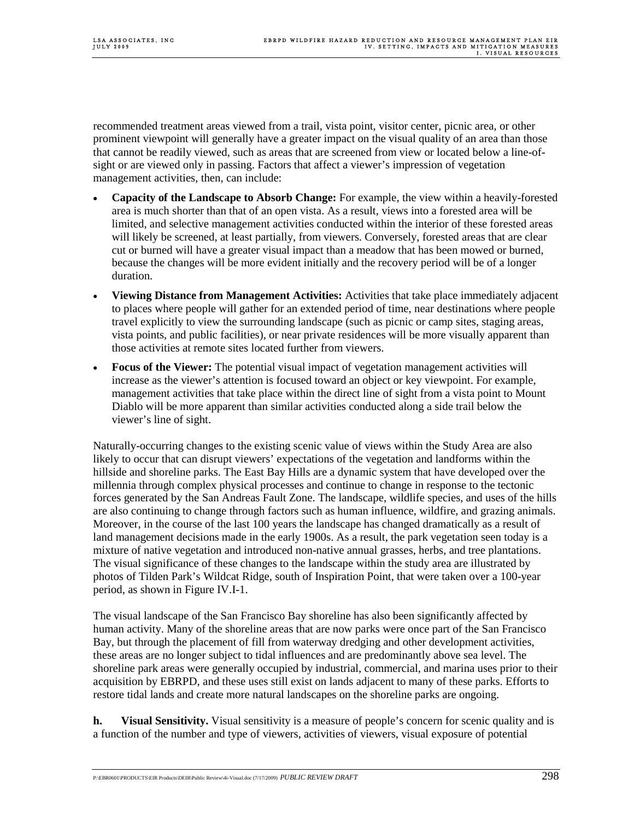recommended treatment areas viewed from a trail, vista point, visitor center, picnic area, or other prominent viewpoint will generally have a greater impact on the visual quality of an area than those that cannot be readily viewed, such as areas that are screened from view or located below a line-ofsight or are viewed only in passing. Factors that affect a viewer's impression of vegetation management activities, then, can include:

- **Capacity of the Landscape to Absorb Change:** For example, the view within a heavily-forested area is much shorter than that of an open vista. As a result, views into a forested area will be limited, and selective management activities conducted within the interior of these forested areas will likely be screened, at least partially, from viewers. Conversely, forested areas that are clear cut or burned will have a greater visual impact than a meadow that has been mowed or burned, because the changes will be more evident initially and the recovery period will be of a longer duration.
- **Viewing Distance from Management Activities:** Activities that take place immediately adjacent to places where people will gather for an extended period of time, near destinations where people travel explicitly to view the surrounding landscape (such as picnic or camp sites, staging areas, vista points, and public facilities), or near private residences will be more visually apparent than those activities at remote sites located further from viewers.
- **Focus of the Viewer:** The potential visual impact of vegetation management activities will increase as the viewer's attention is focused toward an object or key viewpoint. For example, management activities that take place within the direct line of sight from a vista point to Mount Diablo will be more apparent than similar activities conducted along a side trail below the viewer's line of sight.

Naturally-occurring changes to the existing scenic value of views within the Study Area are also likely to occur that can disrupt viewers' expectations of the vegetation and landforms within the hillside and shoreline parks. The East Bay Hills are a dynamic system that have developed over the millennia through complex physical processes and continue to change in response to the tectonic forces generated by the San Andreas Fault Zone. The landscape, wildlife species, and uses of the hills are also continuing to change through factors such as human influence, wildfire, and grazing animals. Moreover, in the course of the last 100 years the landscape has changed dramatically as a result of land management decisions made in the early 1900s. As a result, the park vegetation seen today is a mixture of native vegetation and introduced non-native annual grasses, herbs, and tree plantations. The visual significance of these changes to the landscape within the study area are illustrated by photos of Tilden Park's Wildcat Ridge, south of Inspiration Point, that were taken over a 100-year period, as shown in Figure IV.I-1.

The visual landscape of the San Francisco Bay shoreline has also been significantly affected by human activity. Many of the shoreline areas that are now parks were once part of the San Francisco Bay, but through the placement of fill from waterway dredging and other development activities, these areas are no longer subject to tidal influences and are predominantly above sea level. The shoreline park areas were generally occupied by industrial, commercial, and marina uses prior to their acquisition by EBRPD, and these uses still exist on lands adjacent to many of these parks. Efforts to restore tidal lands and create more natural landscapes on the shoreline parks are ongoing.

**h.** Visual Sensitivity. Visual sensitivity is a measure of people's concern for scenic quality and is a function of the number and type of viewers, activities of viewers, visual exposure of potential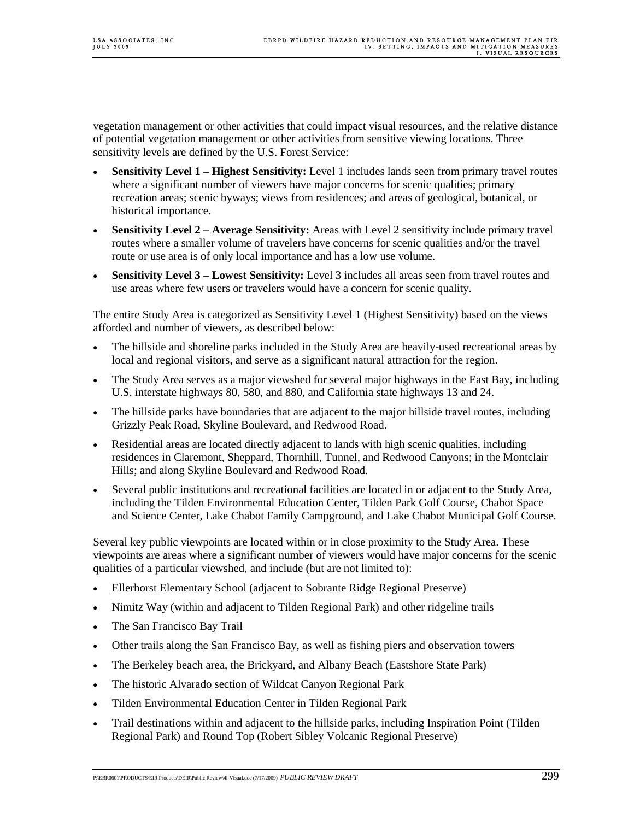vegetation management or other activities that could impact visual resources, and the relative distance of potential vegetation management or other activities from sensitive viewing locations. Three sensitivity levels are defined by the U.S. Forest Service:

- **Sensitivity Level 1 Highest Sensitivity:** Level 1 includes lands seen from primary travel routes where a significant number of viewers have major concerns for scenic qualities; primary recreation areas; scenic byways; views from residences; and areas of geological, botanical, or historical importance.
- **Sensitivity Level 2 Average Sensitivity:** Areas with Level 2 sensitivity include primary travel routes where a smaller volume of travelers have concerns for scenic qualities and/or the travel route or use area is of only local importance and has a low use volume.
- **Sensitivity Level 3 – Lowest Sensitivity:** Level 3 includes all areas seen from travel routes and use areas where few users or travelers would have a concern for scenic quality.

The entire Study Area is categorized as Sensitivity Level 1 (Highest Sensitivity) based on the views afforded and number of viewers, as described below:

- The hillside and shoreline parks included in the Study Area are heavily-used recreational areas by local and regional visitors, and serve as a significant natural attraction for the region.
- The Study Area serves as a major viewshed for several major highways in the East Bay, including U.S. interstate highways 80, 580, and 880, and California state highways 13 and 24.
- The hillside parks have boundaries that are adjacent to the major hillside travel routes, including Grizzly Peak Road, Skyline Boulevard, and Redwood Road.
- Residential areas are located directly adjacent to lands with high scenic qualities, including residences in Claremont, Sheppard, Thornhill, Tunnel, and Redwood Canyons; in the Montclair Hills; and along Skyline Boulevard and Redwood Road.
- Several public institutions and recreational facilities are located in or adjacent to the Study Area, including the Tilden Environmental Education Center, Tilden Park Golf Course, Chabot Space and Science Center, Lake Chabot Family Campground, and Lake Chabot Municipal Golf Course.

Several key public viewpoints are located within or in close proximity to the Study Area. These viewpoints are areas where a significant number of viewers would have major concerns for the scenic qualities of a particular viewshed, and include (but are not limited to):

- Ellerhorst Elementary School (adjacent to Sobrante Ridge Regional Preserve)
- Nimitz Way (within and adjacent to Tilden Regional Park) and other ridgeline trails
- The San Francisco Bay Trail
- Other trails along the San Francisco Bay, as well as fishing piers and observation towers
- The Berkeley beach area, the Brickyard, and Albany Beach (Eastshore State Park)
- The historic Alvarado section of Wildcat Canyon Regional Park
- Tilden Environmental Education Center in Tilden Regional Park
- Trail destinations within and adjacent to the hillside parks, including Inspiration Point (Tilden Regional Park) and Round Top (Robert Sibley Volcanic Regional Preserve)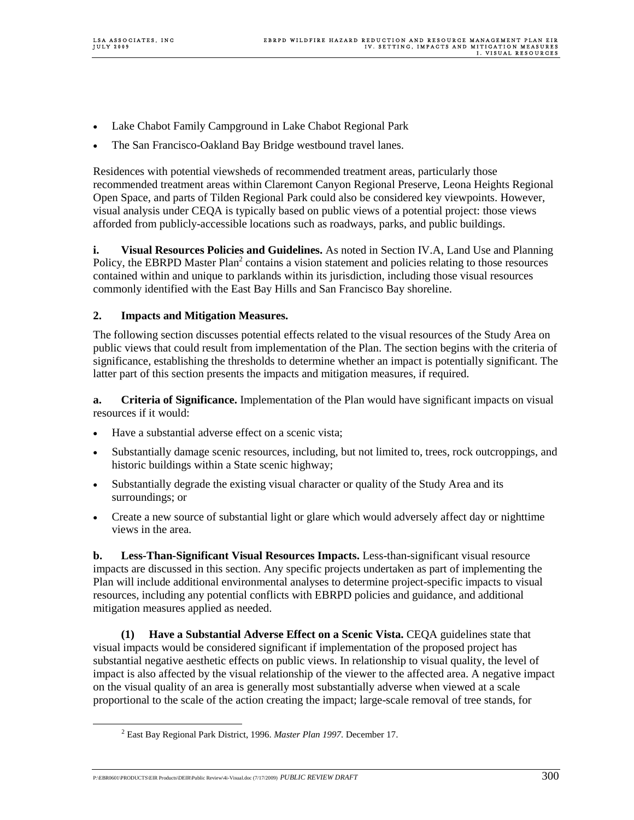- Lake Chabot Family Campground in Lake Chabot Regional Park
- The San Francisco-Oakland Bay Bridge westbound travel lanes.

Residences with potential viewsheds of recommended treatment areas, particularly those recommended treatment areas within Claremont Canyon Regional Preserve, Leona Heights Regional Open Space, and parts of Tilden Regional Park could also be considered key viewpoints. However, visual analysis under CEQA is typically based on public views of a potential project: those views afforded from publicly-accessible locations such as roadways, parks, and public buildings.

**i.** Visual Resources Policies and Guidelines. As noted in Section IV.A, Land Use and Planning Policy, the EBRPD Master Plan<sup>2</sup> contains a vision statement and policies relating to those resources contained within and unique to parklands within its jurisdiction, including those visual resources commonly identified with the East Bay Hills and San Francisco Bay shoreline.

#### **2. Impacts and Mitigation Measures.**

The following section discusses potential effects related to the visual resources of the Study Area on public views that could result from implementation of the Plan. The section begins with the criteria of significance, establishing the thresholds to determine whether an impact is potentially significant. The latter part of this section presents the impacts and mitigation measures, if required.

**a.** Criteria of Significance. Implementation of the Plan would have significant impacts on visual resources if it would:

- Have a substantial adverse effect on a scenic vista;
- Substantially damage scenic resources, including, but not limited to, trees, rock outcroppings, and historic buildings within a State scenic highway;
- Substantially degrade the existing visual character or quality of the Study Area and its surroundings; or
- Create a new source of substantial light or glare which would adversely affect day or nighttime views in the area.

**b.** Less-Than-Significant Visual Resources Impacts. Less-than-significant visual resource impacts are discussed in this section. Any specific projects undertaken as part of implementing the Plan will include additional environmental analyses to determine project-specific impacts to visual resources, including any potential conflicts with EBRPD policies and guidance, and additional mitigation measures applied as needed.

**(1) Have a Substantial Adverse Effect on a Scenic Vista.** CEQA guidelines state that visual impacts would be considered significant if implementation of the proposed project has substantial negative aesthetic effects on public views. In relationship to visual quality, the level of impact is also affected by the visual relationship of the viewer to the affected area. A negative impact on the visual quality of an area is generally most substantially adverse when viewed at a scale proportional to the scale of the action creating the impact; large-scale removal of tree stands, for

 <sup>2</sup> East Bay Regional Park District, 1996. *Master Plan 1997.* December 17.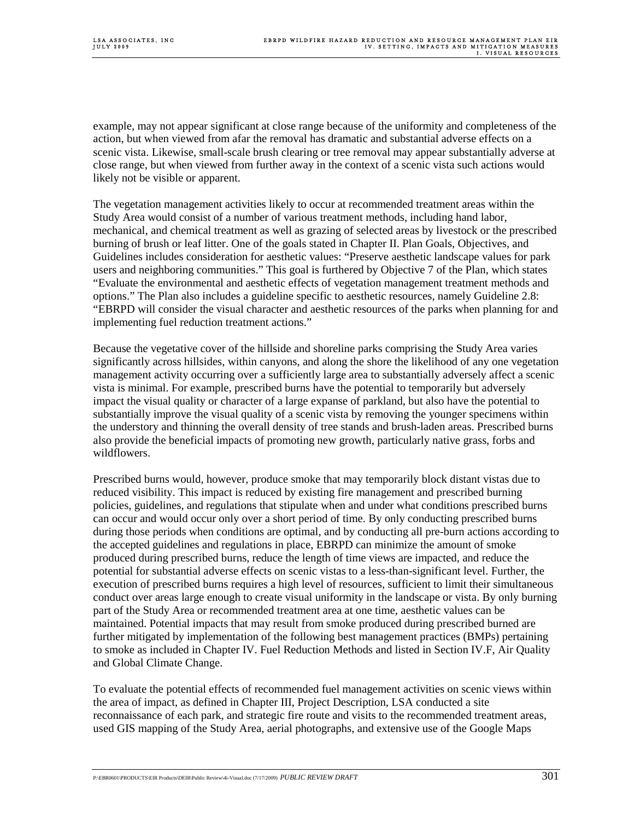example, may not appear significant at close range because of the uniformity and completeness of the action, but when viewed from afar the removal has dramatic and substantial adverse effects on a scenic vista. Likewise, small-scale brush clearing or tree removal may appear substantially adverse at close range, but when viewed from further away in the context of a scenic vista such actions would likely not be visible or apparent.

The vegetation management activities likely to occur at recommended treatment areas within the Study Area would consist of a number of various treatment methods, including hand labor, mechanical, and chemical treatment as well as grazing of selected areas by livestock or the prescribed burning of brush or leaf litter. One of the goals stated in Chapter II. Plan Goals, Objectives, and Guidelines includes consideration for aesthetic values: "Preserve aesthetic landscape values for park users and neighboring communities." This goal is furthered by Objective 7 of the Plan, which states "Evaluate the environmental and aesthetic effects of vegetation management treatment methods and options." The Plan also includes a guideline specific to aesthetic resources, namely Guideline 2.8: "EBRPD will consider the visual character and aesthetic resources of the parks when planning for and implementing fuel reduction treatment actions."

Because the vegetative cover of the hillside and shoreline parks comprising the Study Area varies significantly across hillsides, within canyons, and along the shore the likelihood of any one vegetation management activity occurring over a sufficiently large area to substantially adversely affect a scenic vista is minimal. For example, prescribed burns have the potential to temporarily but adversely impact the visual quality or character of a large expanse of parkland, but also have the potential to substantially improve the visual quality of a scenic vista by removing the younger specimens within the understory and thinning the overall density of tree stands and brush-laden areas. Prescribed burns also provide the beneficial impacts of promoting new growth, particularly native grass, forbs and wildflowers.

Prescribed burns would, however, produce smoke that may temporarily block distant vistas due to reduced visibility. This impact is reduced by existing fire management and prescribed burning policies, guidelines, and regulations that stipulate when and under what conditions prescribed burns can occur and would occur only over a short period of time. By only conducting prescribed burns during those periods when conditions are optimal, and by conducting all pre-burn actions according to the accepted guidelines and regulations in place, EBRPD can minimize the amount of smoke produced during prescribed burns, reduce the length of time views are impacted, and reduce the potential for substantial adverse effects on scenic vistas to a less-than-significant level. Further, the execution of prescribed burns requires a high level of resources, sufficient to limit their simultaneous conduct over areas large enough to create visual uniformity in the landscape or vista. By only burning part of the Study Area or recommended treatment area at one time, aesthetic values can be maintained. Potential impacts that may result from smoke produced during prescribed burned are further mitigated by implementation of the following best management practices (BMPs) pertaining to smoke as included in Chapter IV. Fuel Reduction Methods and listed in Section IV.F, Air Quality and Global Climate Change.

To evaluate the potential effects of recommended fuel management activities on scenic views within the area of impact, as defined in Chapter III, Project Description, LSA conducted a site reconnaissance of each park, and strategic fire route and visits to the recommended treatment areas, used GIS mapping of the Study Area, aerial photographs, and extensive use of the Google Maps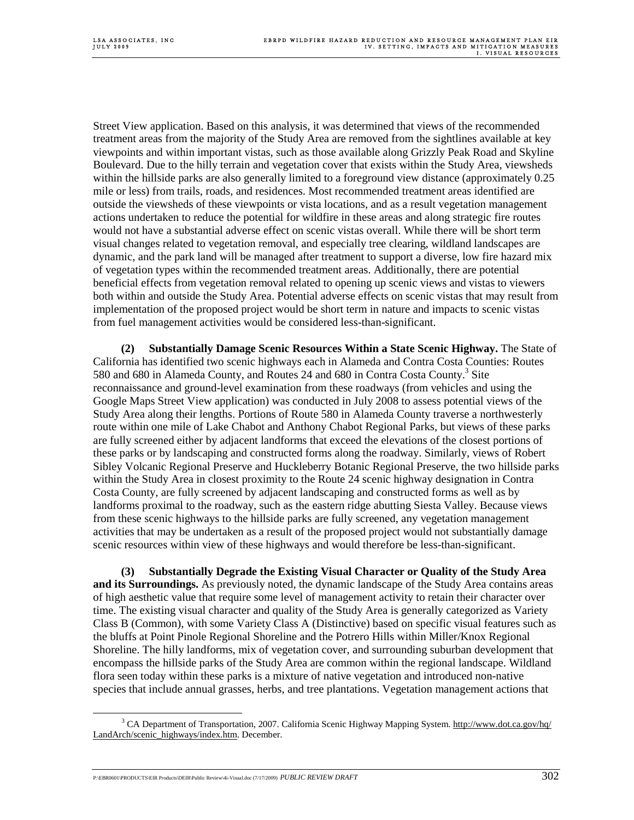Street View application. Based on this analysis, it was determined that views of the recommended treatment areas from the majority of the Study Area are removed from the sightlines available at key viewpoints and within important vistas, such as those available along Grizzly Peak Road and Skyline Boulevard. Due to the hilly terrain and vegetation cover that exists within the Study Area, viewsheds within the hillside parks are also generally limited to a foreground view distance (approximately 0.25 mile or less) from trails, roads, and residences. Most recommended treatment areas identified are outside the viewsheds of these viewpoints or vista locations, and as a result vegetation management actions undertaken to reduce the potential for wildfire in these areas and along strategic fire routes would not have a substantial adverse effect on scenic vistas overall. While there will be short term visual changes related to vegetation removal, and especially tree clearing, wildland landscapes are dynamic, and the park land will be managed after treatment to support a diverse, low fire hazard mix of vegetation types within the recommended treatment areas. Additionally, there are potential beneficial effects from vegetation removal related to opening up scenic views and vistas to viewers both within and outside the Study Area. Potential adverse effects on scenic vistas that may result from implementation of the proposed project would be short term in nature and impacts to scenic vistas from fuel management activities would be considered less-than-significant.

**(2) Substantially Damage Scenic Resources Within a State Scenic Highway.** The State of California has identified two scenic highways each in Alameda and Contra Costa Counties: Routes 580 and 680 in Alameda County, and Routes 24 and 680 in Contra Costa County.<sup>3</sup> Site reconnaissance and ground-level examination from these roadways (from vehicles and using the Google Maps Street View application) was conducted in July 2008 to assess potential views of the Study Area along their lengths. Portions of Route 580 in Alameda County traverse a northwesterly route within one mile of Lake Chabot and Anthony Chabot Regional Parks, but views of these parks are fully screened either by adjacent landforms that exceed the elevations of the closest portions of these parks or by landscaping and constructed forms along the roadway. Similarly, views of Robert Sibley Volcanic Regional Preserve and Huckleberry Botanic Regional Preserve, the two hillside parks within the Study Area in closest proximity to the Route 24 scenic highway designation in Contra Costa County, are fully screened by adjacent landscaping and constructed forms as well as by landforms proximal to the roadway, such as the eastern ridge abutting Siesta Valley. Because views from these scenic highways to the hillside parks are fully screened, any vegetation management activities that may be undertaken as a result of the proposed project would not substantially damage scenic resources within view of these highways and would therefore be less-than-significant.

**(3) Substantially Degrade the Existing Visual Character or Quality of the Study Area and its Surroundings.** As previously noted, the dynamic landscape of the Study Area contains areas of high aesthetic value that require some level of management activity to retain their character over time. The existing visual character and quality of the Study Area is generally categorized as Variety Class B (Common), with some Variety Class A (Distinctive) based on specific visual features such as the bluffs at Point Pinole Regional Shoreline and the Potrero Hills within Miller/Knox Regional Shoreline. The hilly landforms, mix of vegetation cover, and surrounding suburban development that encompass the hillside parks of the Study Area are common within the regional landscape. Wildland flora seen today within these parks is a mixture of native vegetation and introduced non-native species that include annual grasses, herbs, and tree plantations. Vegetation management actions that

 $\frac{1}{3}$ <sup>3</sup> CA Department of Transportation, 2007. California Scenic Highway Mapping System. http://www.dot.ca.gov/hq/ LandArch/scenic\_highways/index.htm. December.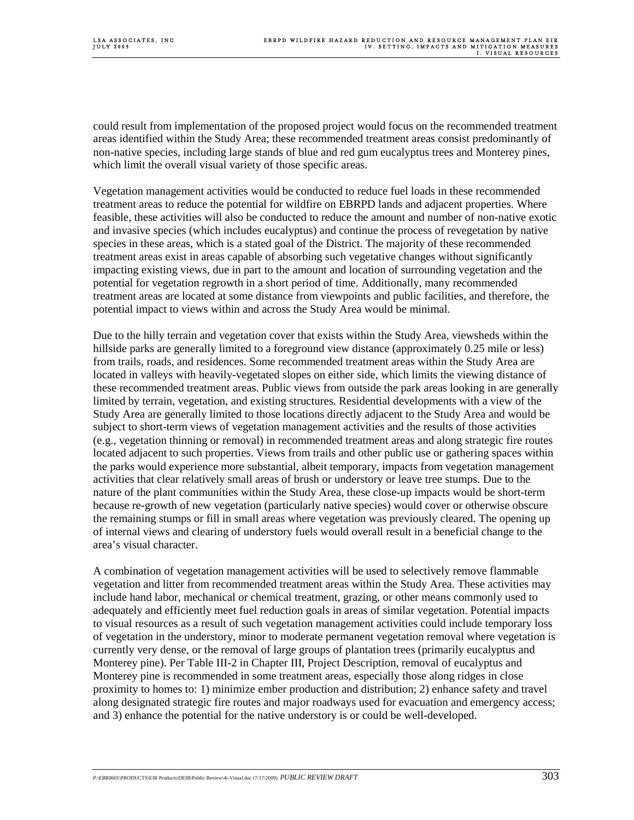could result from implementation of the proposed project would focus on the recommended treatment areas identified within the Study Area; these recommended treatment areas consist predominantly of non-native species, including large stands of blue and red gum eucalyptus trees and Monterey pines, which limit the overall visual variety of those specific areas.

Vegetation management activities would be conducted to reduce fuel loads in these recommended treatment areas to reduce the potential for wildfire on EBRPD lands and adjacent properties. Where feasible, these activities will also be conducted to reduce the amount and number of non-native exotic and invasive species (which includes eucalyptus) and continue the process of revegetation by native species in these areas, which is a stated goal of the District. The majority of these recommended treatment areas exist in areas capable of absorbing such vegetative changes without significantly impacting existing views, due in part to the amount and location of surrounding vegetation and the potential for vegetation regrowth in a short period of time. Additionally, many recommended treatment areas are located at some distance from viewpoints and public facilities, and therefore, the potential impact to views within and across the Study Area would be minimal.

Due to the hilly terrain and vegetation cover that exists within the Study Area, viewsheds within the hillside parks are generally limited to a foreground view distance (approximately 0.25 mile or less) from trails, roads, and residences. Some recommended treatment areas within the Study Area are located in valleys with heavily-vegetated slopes on either side, which limits the viewing distance of these recommended treatment areas. Public views from outside the park areas looking in are generally limited by terrain, vegetation, and existing structures. Residential developments with a view of the Study Area are generally limited to those locations directly adjacent to the Study Area and would be subject to short-term views of vegetation management activities and the results of those activities (e.g., vegetation thinning or removal) in recommended treatment areas and along strategic fire routes located adjacent to such properties. Views from trails and other public use or gathering spaces within the parks would experience more substantial, albeit temporary, impacts from vegetation management activities that clear relatively small areas of brush or understory or leave tree stumps. Due to the nature of the plant communities within the Study Area, these close-up impacts would be short-term because re-growth of new vegetation (particularly native species) would cover or otherwise obscure the remaining stumps or fill in small areas where vegetation was previously cleared. The opening up of internal views and clearing of understory fuels would overall result in a beneficial change to the area's visual character.

A combination of vegetation management activities will be used to selectively remove flammable vegetation and litter from recommended treatment areas within the Study Area. These activities may include hand labor, mechanical or chemical treatment, grazing, or other means commonly used to adequately and efficiently meet fuel reduction goals in areas of similar vegetation. Potential impacts to visual resources as a result of such vegetation management activities could include temporary loss of vegetation in the understory, minor to moderate permanent vegetation removal where vegetation is currently very dense, or the removal of large groups of plantation trees (primarily eucalyptus and Monterey pine). Per Table III-2 in Chapter III, Project Description, removal of eucalyptus and Monterey pine is recommended in some treatment areas, especially those along ridges in close proximity to homes to: 1) minimize ember production and distribution; 2) enhance safety and travel along designated strategic fire routes and major roadways used for evacuation and emergency access; and 3) enhance the potential for the native understory is or could be well-developed.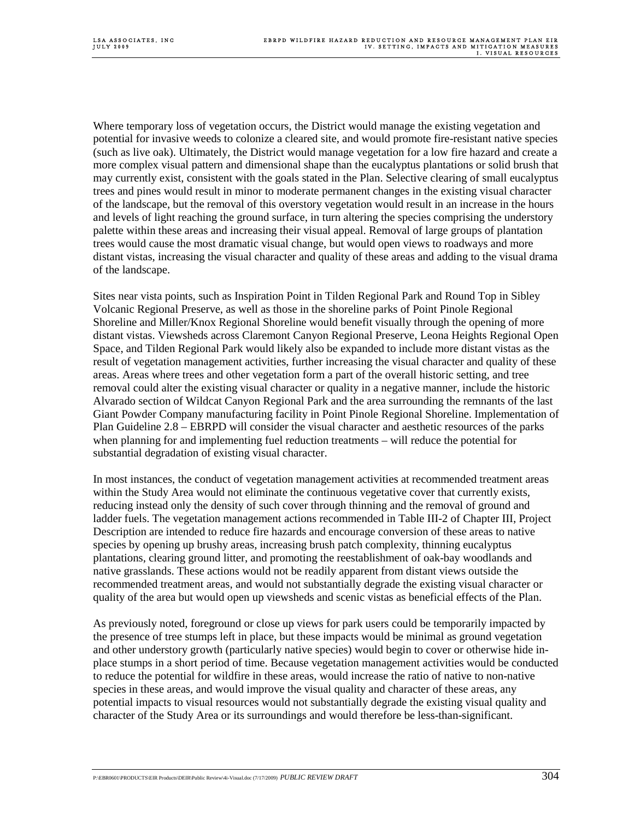Where temporary loss of vegetation occurs, the District would manage the existing vegetation and potential for invasive weeds to colonize a cleared site, and would promote fire-resistant native species (such as live oak). Ultimately, the District would manage vegetation for a low fire hazard and create a more complex visual pattern and dimensional shape than the eucalyptus plantations or solid brush that may currently exist, consistent with the goals stated in the Plan. Selective clearing of small eucalyptus trees and pines would result in minor to moderate permanent changes in the existing visual character of the landscape, but the removal of this overstory vegetation would result in an increase in the hours and levels of light reaching the ground surface, in turn altering the species comprising the understory palette within these areas and increasing their visual appeal. Removal of large groups of plantation trees would cause the most dramatic visual change, but would open views to roadways and more distant vistas, increasing the visual character and quality of these areas and adding to the visual drama of the landscape.

Sites near vista points, such as Inspiration Point in Tilden Regional Park and Round Top in Sibley Volcanic Regional Preserve, as well as those in the shoreline parks of Point Pinole Regional Shoreline and Miller/Knox Regional Shoreline would benefit visually through the opening of more distant vistas. Viewsheds across Claremont Canyon Regional Preserve, Leona Heights Regional Open Space, and Tilden Regional Park would likely also be expanded to include more distant vistas as the result of vegetation management activities, further increasing the visual character and quality of these areas. Areas where trees and other vegetation form a part of the overall historic setting, and tree removal could alter the existing visual character or quality in a negative manner, include the historic Alvarado section of Wildcat Canyon Regional Park and the area surrounding the remnants of the last Giant Powder Company manufacturing facility in Point Pinole Regional Shoreline. Implementation of Plan Guideline 2.8 – EBRPD will consider the visual character and aesthetic resources of the parks when planning for and implementing fuel reduction treatments – will reduce the potential for substantial degradation of existing visual character.

In most instances, the conduct of vegetation management activities at recommended treatment areas within the Study Area would not eliminate the continuous vegetative cover that currently exists, reducing instead only the density of such cover through thinning and the removal of ground and ladder fuels. The vegetation management actions recommended in Table III-2 of Chapter III, Project Description are intended to reduce fire hazards and encourage conversion of these areas to native species by opening up brushy areas, increasing brush patch complexity, thinning eucalyptus plantations, clearing ground litter, and promoting the reestablishment of oak-bay woodlands and native grasslands. These actions would not be readily apparent from distant views outside the recommended treatment areas, and would not substantially degrade the existing visual character or quality of the area but would open up viewsheds and scenic vistas as beneficial effects of the Plan.

As previously noted, foreground or close up views for park users could be temporarily impacted by the presence of tree stumps left in place, but these impacts would be minimal as ground vegetation and other understory growth (particularly native species) would begin to cover or otherwise hide inplace stumps in a short period of time. Because vegetation management activities would be conducted to reduce the potential for wildfire in these areas, would increase the ratio of native to non-native species in these areas, and would improve the visual quality and character of these areas, any potential impacts to visual resources would not substantially degrade the existing visual quality and character of the Study Area or its surroundings and would therefore be less-than-significant.